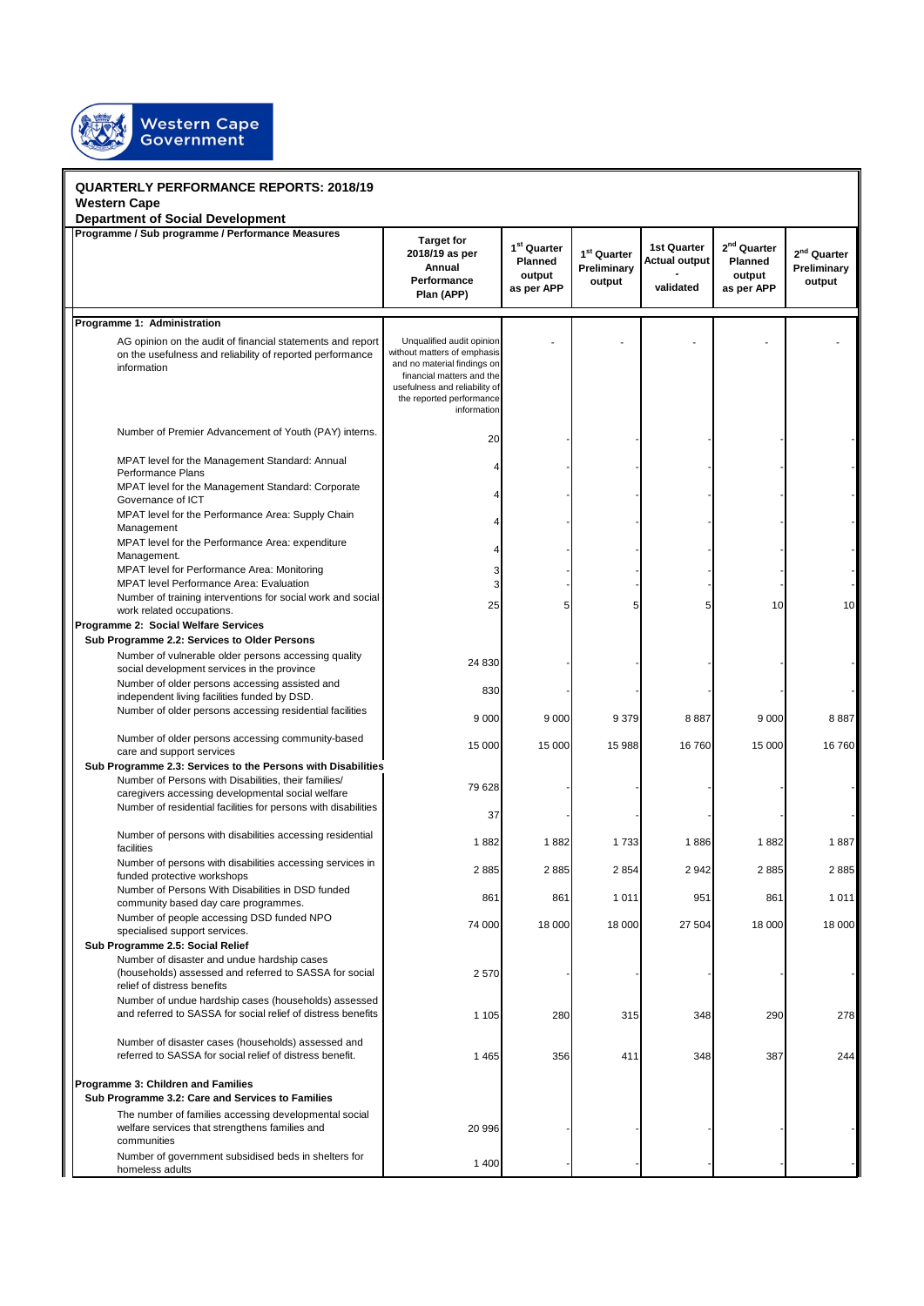

| <b>QUARTERLY PERFORMANCE REPORTS: 2018/19</b>                                                                                          |                                                                                                                                                                     |                      |                         |                      |                         |                         |  |
|----------------------------------------------------------------------------------------------------------------------------------------|---------------------------------------------------------------------------------------------------------------------------------------------------------------------|----------------------|-------------------------|----------------------|-------------------------|-------------------------|--|
| <b>Western Cape</b>                                                                                                                    |                                                                                                                                                                     |                      |                         |                      |                         |                         |  |
| <b>Department of Social Development</b><br>Programme / Sub programme / Performance Measures                                            |                                                                                                                                                                     |                      |                         |                      |                         |                         |  |
|                                                                                                                                        | <b>Target for</b><br>2018/19 as per                                                                                                                                 | $1st$ Quarter        | 1 <sup>st</sup> Quarter | 1st Quarter          | 2 <sup>nd</sup> Quarter | 2 <sup>nd</sup> Quarter |  |
|                                                                                                                                        | Annual                                                                                                                                                              | Planned              | Preliminary             | <b>Actual output</b> | <b>Planned</b>          | Preliminary             |  |
|                                                                                                                                        | Performance                                                                                                                                                         | output<br>as per APP | output                  | validated            | output<br>as per APP    | output                  |  |
|                                                                                                                                        | Plan (APP)                                                                                                                                                          |                      |                         |                      |                         |                         |  |
| Programme 1: Administration                                                                                                            |                                                                                                                                                                     |                      |                         |                      |                         |                         |  |
|                                                                                                                                        | Unqualified audit opinion                                                                                                                                           |                      |                         |                      |                         |                         |  |
| AG opinion on the audit of financial statements and report<br>on the usefulness and reliability of reported performance<br>information | without matters of emphasis<br>and no material findings on<br>financial matters and the<br>usefulness and reliability of<br>the reported performance<br>information |                      |                         |                      |                         |                         |  |
| Number of Premier Advancement of Youth (PAY) interns.                                                                                  | 20                                                                                                                                                                  |                      |                         |                      |                         |                         |  |
| MPAT level for the Management Standard: Annual                                                                                         |                                                                                                                                                                     |                      |                         |                      |                         |                         |  |
| Performance Plans<br>MPAT level for the Management Standard: Corporate                                                                 |                                                                                                                                                                     |                      |                         |                      |                         |                         |  |
| Governance of ICT<br>MPAT level for the Performance Area: Supply Chain                                                                 |                                                                                                                                                                     |                      |                         |                      |                         |                         |  |
| Management                                                                                                                             |                                                                                                                                                                     |                      |                         |                      |                         |                         |  |
| MPAT level for the Performance Area: expenditure<br>Management.                                                                        |                                                                                                                                                                     |                      |                         |                      |                         |                         |  |
| MPAT level for Performance Area: Monitoring<br><b>MPAT level Performance Area: Evaluation</b>                                          | 3<br>3                                                                                                                                                              |                      |                         |                      |                         |                         |  |
| Number of training interventions for social work and social                                                                            | 25                                                                                                                                                                  |                      | 5                       |                      | 10                      | 10                      |  |
| work related occupations.<br>Programme 2: Social Welfare Services                                                                      |                                                                                                                                                                     |                      |                         |                      |                         |                         |  |
| Sub Programme 2.2: Services to Older Persons                                                                                           |                                                                                                                                                                     |                      |                         |                      |                         |                         |  |
| Number of vulnerable older persons accessing quality<br>social development services in the province                                    | 24 830                                                                                                                                                              |                      |                         |                      |                         |                         |  |
| Number of older persons accessing assisted and<br>independent living facilities funded by DSD.                                         | 830                                                                                                                                                                 |                      |                         |                      |                         |                         |  |
| Number of older persons accessing residential facilities                                                                               | 9 0 0 0                                                                                                                                                             | 9 0 0 0              | 9379                    | 8887                 | 9 0 0 0                 | 8887                    |  |
| Number of older persons accessing community-based<br>care and support services                                                         | 15 000                                                                                                                                                              | 15 000               | 15 988                  | 16760                | 15 000                  | 16760                   |  |
| Sub Programme 2.3: Services to the Persons with Disabilities                                                                           |                                                                                                                                                                     |                      |                         |                      |                         |                         |  |
| Number of Persons with Disabilities, their families/<br>caregivers accessing developmental social welfare                              | 79 628                                                                                                                                                              |                      |                         |                      |                         |                         |  |
| Number of residential facilities for persons with disabilities                                                                         | 37                                                                                                                                                                  |                      |                         |                      |                         |                         |  |
| Number of persons with disabilities accessing residential<br>facilities                                                                | 1882                                                                                                                                                                | 1882                 | 1733                    | 1886                 | 1882                    | 1887                    |  |
| Number of persons with disabilities accessing services in                                                                              | 2885                                                                                                                                                                | 2885                 | 2854                    | 2942                 | 2885                    | 2885                    |  |
| funded protective workshops<br>Number of Persons With Disabilities in DSD funded                                                       | 861                                                                                                                                                                 | 861                  | 1011                    | 951                  | 861                     | 1 0 1 1                 |  |
| community based day care programmes.<br>Number of people accessing DSD funded NPO                                                      | 74 000                                                                                                                                                              | 18 000               | 18 000                  | 27 504               | 18 000                  | 18 000                  |  |
| specialised support services.<br>Sub Programme 2.5: Social Relief                                                                      |                                                                                                                                                                     |                      |                         |                      |                         |                         |  |
| Number of disaster and undue hardship cases                                                                                            |                                                                                                                                                                     |                      |                         |                      |                         |                         |  |
| (households) assessed and referred to SASSA for social<br>relief of distress benefits                                                  | 2570                                                                                                                                                                |                      |                         |                      |                         |                         |  |
| Number of undue hardship cases (households) assessed<br>and referred to SASSA for social relief of distress benefits                   | 1 1 0 5                                                                                                                                                             | 280                  | 315                     | 348                  | 290                     | 278                     |  |
| Number of disaster cases (households) assessed and<br>referred to SASSA for social relief of distress benefit.                         | 1 4 6 5                                                                                                                                                             | 356                  | 411                     | 348                  | 387                     | 244                     |  |
|                                                                                                                                        |                                                                                                                                                                     |                      |                         |                      |                         |                         |  |
| Programme 3: Children and Families                                                                                                     |                                                                                                                                                                     |                      |                         |                      |                         |                         |  |
| Sub Programme 3.2: Care and Services to Families<br>The number of families accessing developmental social                              |                                                                                                                                                                     |                      |                         |                      |                         |                         |  |
| welfare services that strengthens families and<br>communities                                                                          | 20 996                                                                                                                                                              |                      |                         |                      |                         |                         |  |
| Number of government subsidised beds in shelters for<br>homeless adults                                                                | 1 400                                                                                                                                                               |                      |                         |                      |                         |                         |  |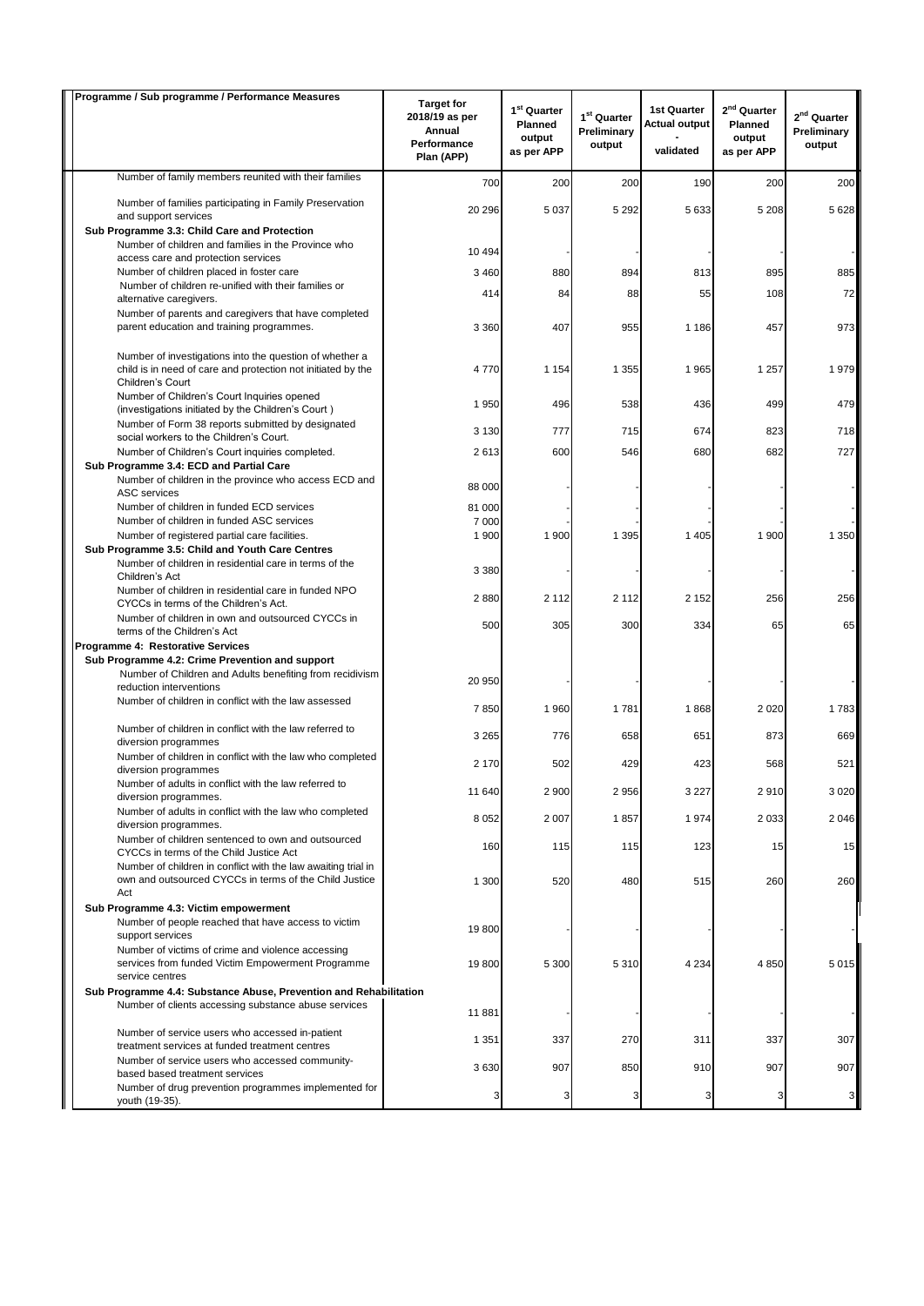| Programme / Sub programme / Performance Measures                                                                                            | <b>Target for</b>                                     | $1st$ Quarter                   |                                                  | <b>1st Quarter</b>                | $2nd$ Quarter                   |                                                  |
|---------------------------------------------------------------------------------------------------------------------------------------------|-------------------------------------------------------|---------------------------------|--------------------------------------------------|-----------------------------------|---------------------------------|--------------------------------------------------|
|                                                                                                                                             | 2018/19 as per<br>Annual<br>Performance<br>Plan (APP) | Planned<br>output<br>as per APP | 1 <sup>st</sup> Quarter<br>Preliminary<br>output | <b>Actual output</b><br>validated | Planned<br>output<br>as per APP | 2 <sup>nd</sup> Quarter<br>Preliminary<br>output |
| Number of family members reunited with their families                                                                                       | 700                                                   | 200                             | 200                                              | 190                               | 200                             | 200                                              |
| Number of families participating in Family Preservation<br>and support services                                                             | 20 29 6                                               | 5 0 3 7                         | 5 2 9 2                                          | 5633                              | 5 2 0 8                         | 5 6 28                                           |
| Sub Programme 3.3: Child Care and Protection                                                                                                |                                                       |                                 |                                                  |                                   |                                 |                                                  |
| Number of children and families in the Province who                                                                                         | 10 4 94                                               |                                 |                                                  |                                   |                                 |                                                  |
| access care and protection services<br>Number of children placed in foster care                                                             | 3 4 6 0                                               | 880                             | 894                                              | 813                               | 895                             | 885                                              |
| Number of children re-unified with their families or                                                                                        |                                                       |                                 |                                                  |                                   |                                 |                                                  |
| alternative caregivers.                                                                                                                     | 414                                                   | 84                              | 88                                               | 55                                | 108                             | 72                                               |
| Number of parents and caregivers that have completed<br>parent education and training programmes.                                           | 3 3 6 0                                               | 407                             | 955                                              | 1 1 8 6                           | 457                             | 973                                              |
| Number of investigations into the question of whether a<br>child is in need of care and protection not initiated by the<br>Children's Court | 4770                                                  | 1 1 5 4                         | 1 3 5 5                                          | 1965                              | 1 257                           | 1979                                             |
| Number of Children's Court Inquiries opened<br>(investigations initiated by the Children's Court)                                           | 1 9 5 0                                               | 496                             | 538                                              | 436                               | 499                             | 479                                              |
| Number of Form 38 reports submitted by designated                                                                                           | 3 1 3 0                                               | 777                             | 715                                              | 674                               | 823                             | 718                                              |
| social workers to the Children's Court.<br>Number of Children's Court inquiries completed.                                                  | 2613                                                  | 600                             | 546                                              | 680                               | 682                             | 727                                              |
| Sub Programme 3.4: ECD and Partial Care                                                                                                     |                                                       |                                 |                                                  |                                   |                                 |                                                  |
| Number of children in the province who access ECD and<br><b>ASC</b> services                                                                | 88 000                                                |                                 |                                                  |                                   |                                 |                                                  |
| Number of children in funded ECD services                                                                                                   | 81 000                                                |                                 |                                                  |                                   |                                 |                                                  |
| Number of children in funded ASC services<br>Number of registered partial care facilities.                                                  | 7 000<br>1 900                                        | 1 900                           | 1 3 9 5                                          | 1 4 0 5                           | 1 900                           | 1 3 5 0                                          |
| Sub Programme 3.5: Child and Youth Care Centres                                                                                             |                                                       |                                 |                                                  |                                   |                                 |                                                  |
| Number of children in residential care in terms of the<br>Children's Act                                                                    | 3 3 8 0                                               |                                 |                                                  |                                   |                                 |                                                  |
| Number of children in residential care in funded NPO<br>CYCCs in terms of the Children's Act.                                               | 2880                                                  | 2 1 1 2                         | 2 1 1 2                                          | 2 1 5 2                           | 256                             | 256                                              |
| Number of children in own and outsourced CYCCs in<br>terms of the Children's Act                                                            | 500                                                   | 305                             | 300                                              | 334                               | 65                              | 65                                               |
| Programme 4: Restorative Services                                                                                                           |                                                       |                                 |                                                  |                                   |                                 |                                                  |
| Sub Programme 4.2: Crime Prevention and support<br>Number of Children and Adults benefiting from recidivism                                 | 20 950                                                |                                 |                                                  |                                   |                                 |                                                  |
| reduction interventions<br>Number of children in conflict with the law assessed                                                             | 7850                                                  | 1 960                           | 1781                                             | 1868                              | 2 0 2 0                         | 1783                                             |
| Number of children in conflict with the law referred to                                                                                     | 3 2 6 5                                               | 776                             | 658                                              | 651                               | 873                             | 669                                              |
| diversion programmes<br>Number of children in conflict with the law who completed                                                           | 2 170                                                 | 502                             | 429                                              | 423                               | 568                             | 521                                              |
| diversion programmes<br>Number of adults in conflict with the law referred to                                                               | 11 640                                                | 2 900                           | 2956                                             | 3 2 2 7                           | 2910                            | 3 0 2 0                                          |
| diversion programmes.<br>Number of adults in conflict with the law who completed                                                            | 8 0 5 2                                               | 2 0 0 7                         | 1857                                             | 1974                              | 2 0 3 3                         | 2 0 4 6                                          |
| diversion programmes.<br>Number of children sentenced to own and outsourced                                                                 |                                                       |                                 |                                                  |                                   |                                 |                                                  |
| CYCCs in terms of the Child Justice Act<br>Number of children in conflict with the law awaiting trial in                                    | 160                                                   | 115                             | 115                                              | 123                               | 15                              | 15                                               |
| own and outsourced CYCCs in terms of the Child Justice<br>Act                                                                               | 1 300                                                 | 520                             | 480                                              | 515                               | 260                             | 260                                              |
| Sub Programme 4.3: Victim empowerment                                                                                                       |                                                       |                                 |                                                  |                                   |                                 |                                                  |
| Number of people reached that have access to victim<br>support services                                                                     | 19800                                                 |                                 |                                                  |                                   |                                 |                                                  |
| Number of victims of crime and violence accessing<br>services from funded Victim Empowerment Programme<br>service centres                   | 19800                                                 | 5 300                           | 5310                                             | 4 2 3 4                           | 4850                            | 5 0 1 5                                          |
| Sub Programme 4.4: Substance Abuse, Prevention and Rehabilitation                                                                           |                                                       |                                 |                                                  |                                   |                                 |                                                  |
| Number of clients accessing substance abuse services                                                                                        | 11881                                                 |                                 |                                                  |                                   |                                 |                                                  |
| Number of service users who accessed in-patient<br>treatment services at funded treatment centres                                           | 1 3 5 1                                               | 337                             | 270                                              | 311                               | 337                             | 307                                              |
| Number of service users who accessed community-<br>based based treatment services                                                           | 3630                                                  | 907                             | 850                                              | 910                               | 907                             | 907                                              |
| Number of drug prevention programmes implemented for<br>youth (19-35).                                                                      | 3                                                     | з                               | 3                                                | 3                                 | 3                               | 3                                                |